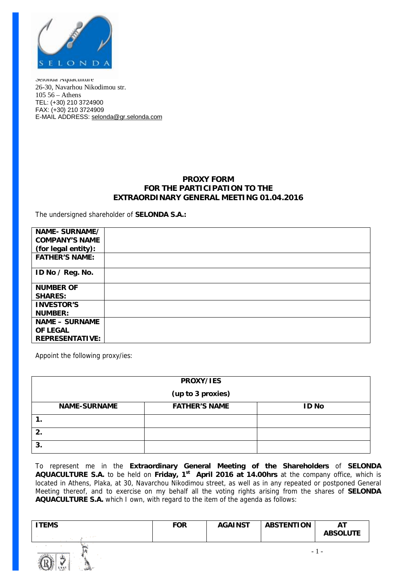

Selonda Aquaculture 26-30, Navarhou Nikodimou str. 105 56 – Athens TEL: (+30) 210 3724900 FAX: (+30) 210 3724909 E-MAIL ADDRESS: [selonda@gr.selonda.com](mailto:selonda@gr.selonda.com)

## **PROXY FORM FOR THE PARTICIPATION TO THE EXTRAORDINARY GENERAL MEETING 01.04.2016**

The undersigned shareholder of **SELONDA S.A.:**

| NAME-SURNAME/          |  |
|------------------------|--|
| <b>COMPANY'S NAME</b>  |  |
| (for legal entity):    |  |
| <b>FATHER'S NAME:</b>  |  |
| ID No / Reg. No.       |  |
| <b>NUMBER OF</b>       |  |
| <b>SHARES:</b>         |  |
| <b>INVESTOR'S</b>      |  |
| <b>NUMBER:</b>         |  |
| <b>NAME - SURNAME</b>  |  |
| <b>OF LEGAL</b>        |  |
| <b>REPRESENTATIVE:</b> |  |

Appoint the following proxy/ies:

| PROXY/IES           |                      |              |  |  |  |  |  |
|---------------------|----------------------|--------------|--|--|--|--|--|
| (up to 3 proxies)   |                      |              |  |  |  |  |  |
| <b>NAME-SURNAME</b> | <b>FATHER'S NAME</b> | <b>ID No</b> |  |  |  |  |  |
|                     |                      |              |  |  |  |  |  |
|                     |                      |              |  |  |  |  |  |
| 3.                  |                      |              |  |  |  |  |  |

To represent me in the **Extraordinary General Meeting of the Shareholders** of **SELONDA AQUACULTURE S.A.** to be held on **Friday, 1st April 2016 at 14.00hrs** at the company office, which is located in Athens, Plaka, at 30, Navarchou Nikodimou street, as well as in any repeated or postponed General Meeting thereof, and to exercise on my behalf all the voting rights arising from the shares of **SELONDA AQUACULTURE S.A.** which I own, with regard to the item of the agenda as follows:

| ITEMS | <b>FOR</b> | <b>AGAINST</b> | <b>ABSTENTION</b> | ΑT              |
|-------|------------|----------------|-------------------|-----------------|
|       |            |                |                   | <b>ABSOLUTE</b> |
|       |            |                |                   |                 |

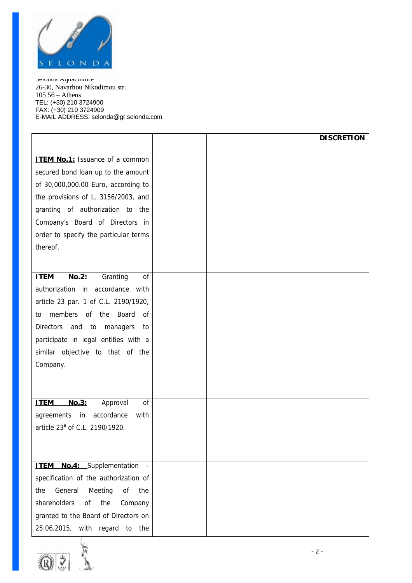

Selonda Aquaculture 26-30, Navarhou Nikodimou str. 105 56 – Athens TEL: (+30) 210 3724900 FAX: (+30) 210 3724909 E-MAIL ADDRESS: [selonda@gr.selonda.com](mailto:selonda@gr.selonda.com)

|                                            |  | <b>DISCRETION</b> |
|--------------------------------------------|--|-------------------|
|                                            |  |                   |
| <b>ITEM No.1:</b> Issuance of a common     |  |                   |
| secured bond loan up to the amount         |  |                   |
| of 30,000,000.00 Euro, according to        |  |                   |
| the provisions of L. 3156/2003, and        |  |                   |
| granting of authorization to the           |  |                   |
| Company's Board of Directors in            |  |                   |
| order to specify the particular terms      |  |                   |
| thereof.                                   |  |                   |
|                                            |  |                   |
| <b>ITEM</b><br>No.2:<br>Granting<br>of     |  |                   |
| authorization in accordance with           |  |                   |
| article 23 par. 1 of C.L. 2190/1920,       |  |                   |
| members of the Board<br>0f<br>to           |  |                   |
| Directors and<br>to<br>managers<br>to      |  |                   |
| participate in legal entities with a       |  |                   |
|                                            |  |                   |
| similar objective to that of the           |  |                   |
| Company.                                   |  |                   |
|                                            |  |                   |
|                                            |  |                   |
| <b>ITEM</b><br>No.3:<br>Approval<br>of     |  |                   |
| accordance<br>agreements in<br>with        |  |                   |
| article 23 <sup>ª</sup> of C.L. 2190/1920. |  |                   |
|                                            |  |                   |
|                                            |  |                   |
| <b>ITEM No.4:</b> Supplementation          |  |                   |
| specification of the authorization of      |  |                   |
| General<br>Meeting<br>of<br>the<br>the     |  |                   |
| shareholders<br>the<br>of<br>Company       |  |                   |
| granted to the Board of Directors on       |  |                   |
| 25.06.2015, with regard to the             |  |                   |

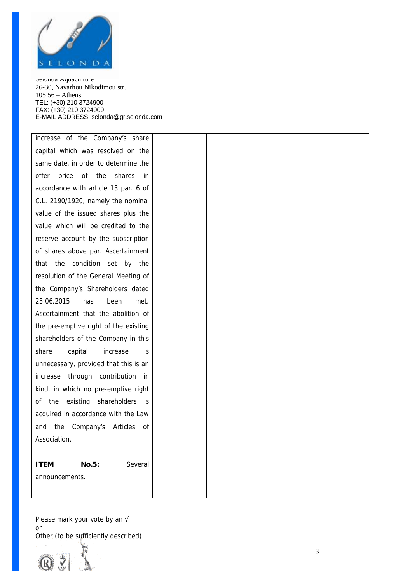

Seionua Aquacunure 26-30, Navarhou Nikodimou str. 105 5 6 – A th en s T E L : (+3 0 ) 210 3724900 FAX : (+3 0 ) 210 3724909 E-MAIL ADDRESS: s[elond](mailto:selonda@gr.selonda.com)a@gr.selonda.com

increase of the Company's share capital which was resolved on the same date, in order to determine the offer price of the shares in accordance with article 13 par. 6 of C.L. 2190/1920, namely the nominal value of the issued shares plus the value which will be credited to the reserve account by the subscription of shares above par. Ascertai nment that the condition set by the resolution of the General Meeting of the Company' s Sharehol ders dated 25. 06. 2015 has been met. Ascertainment that the abolition of the pre-emptive right of the existing shareholders of the Company in this share capi tal increase is unnecessary, provided that this is an increase through contribution in kind, in which no pre-emptive right of the existing shareholders is acquired in accordance with the Law and the Company's Articles of Associati on.

**I T E M N o.5 :** Several announcements. Please mark your vote by an √

or<br>Other (to be sufficiently described)

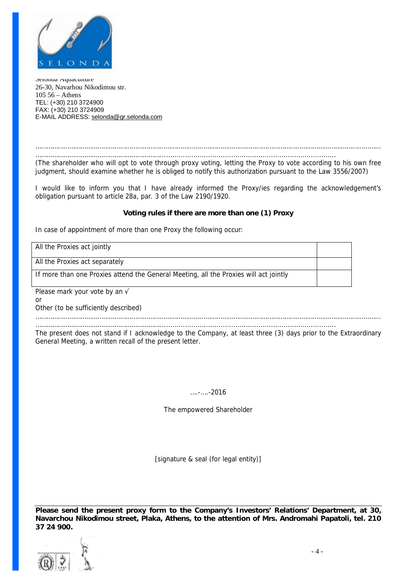

Selonda Aquaculture 26-30, Navarhou Nikodimou str. 105 56 – Athens TEL: (+30) 210 3724900 FAX: (+30) 210 3724909 E-MAIL ADDRESS: [selonda@gr.selonda.com](mailto:selonda@gr.selonda.com)

………………………………………………………………………………………………………………………………………………………………… …………………………………………………………....................................................................................

(The shareholder who will opt to vote through proxy voting, letting the Proxy to vote according to his own free *judgment, should examine whether he is obliged to notify this authorization pursuant to the Law 3556/2007)* 

I would like to inform you that I have already informed the Proxy/ies regarding the acknowledgement's obligation pursuant to article 28a, par. 3 of the Law 2190/1920.

## **Voting rules if there are more than one (1) Proxy**

*In case of appointment of more than one Proxy the following occur:* 

*All the Proxies act jointly*

*All the Proxies act separately*

*If more than one Proxies attend the General Meeting, all the Proxies will act jointly*

Please mark your vote by an  $\sqrt{ }$ 

or

Other (to be sufficiently described)

………………………………………………………………………………………………………………………………………………………………… …………………………………………………………....................................................................................

The present does not stand if I acknowledge to the Company, at least three (3) days prior to the Extraordinary General Meeting, a written recall of the present letter.

## ….-….-2016

The empowered Shareholder

[*signature & seal (for legal entity)*]

**Please send the present proxy form to the Company's Investors' Relations' Department, at 30, Navarchou Nikodimou street, Plaka, Athens, to the attention of Mrs. Andromahi Papatoli, tel. 210 37 24 900.**